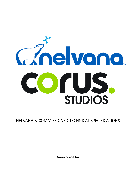

NELVANA & COMMISSIONED TECHNICAL SPECIFICATIONS

RELEASE AUGUST 2021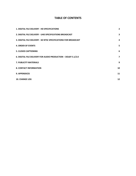## **TABLE OF CONTENTS**

| <b>1. DIGITAL FILE DELIVERY - HD SPECIFICATIONS</b>             | $\overline{2}$ |
|-----------------------------------------------------------------|----------------|
| 2. DIGITAL FILE DELIVERY - UHD SPECIFICATIONS BROADCAST         | 3              |
| 3. DIGITAL FILE DELIVERY - SD NTSC SPECIFICATIONS FOR BROADCAST | 4              |
| <b>4. ORDER OF EVENTS</b>                                       | 5              |
| <b>5. CLOSED CAPTIONING</b>                                     | 6              |
| 6. DIGITAL FILE DELIVERY FOR AUDIO PRODUCTION - DOLBY 5.1/2.0   | $\overline{ }$ |
| <b>7. PUBLICITY MATERIALS</b>                                   | 9              |
| <b>8. CONTACT INFORMATION</b>                                   | 10             |
| <b>9. APPENDICES</b>                                            | 11             |
| <b>10. CHANGE LOG</b>                                           | 12             |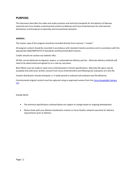## **PURPOSE:**

This document describes the video and audio practices and technical standards for the delivery of Nelvana acquired and Corus Studios commissioned content to Nelvana and Corus Entertainment for international distribution and broadcast on Specialty and Conventional networks.

#### **GENERAL:**

The master copy of the program should be recorded directly from Licensor's "master".

All program content should be recorded in accordance with standard industry practices and in accordance with the appropriate ANSI/SMPTE/ITU-R Standards and Recommended Practices.

Credits should not contain any website URLs.

All files can be delivered via Signiant, Aspera, or onboarded ad-delivery partner. Alternate delivery methods will need to be determined and agreed to on a case by case basis.

Best efforts must be made to meet Corus Entertainment's format specifications. Alternate file specs may be accepted only with prior written consent from Corus Entertainment and following the evaluation of a test file.

Content distributors should anticipate a 1-3 week period to onboard and evaluate new file deliveries.

Commissioned original content must be captured using an approved camera from the [Corus Acceptable Camera](https://assets.corusent.com/wp-content/uploads/2021/10/Corus-Acceptable-Camera-List-1.pdf)  [List.](https://assets.corusent.com/wp-content/uploads/2021/10/Corus-Acceptable-Camera-List-1.pdf)

#### PLEASE NOTE:

- The technical specifications outlined below are subject to change based on ongoing development.
- Please check with your Nelvana Syndication contact or Corus Studios network executive for delivery requirements prior to delivery.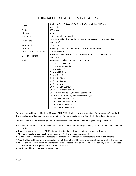## **1. DIGITAL FILE DELIVERY - HD SPECIFICATIONS**

<span id="page-3-0"></span>

| Video                      | Apple Pro Res HD 4444 XQ Preferred. (Pro Res HD 422 HQ also            |  |
|----------------------------|------------------------------------------------------------------------|--|
|                            | accepted)                                                              |  |
| <b>Bit Rate</b>            | 396 Mbps                                                               |  |
| File type                  | <b>MOV</b>                                                             |  |
| Resolution                 | 1920 x 1080 (progressive)                                              |  |
| Frame Rate                 | 23.976 (provided this was the production frame rate. Otherwise native  |  |
|                            | frame rate)                                                            |  |
| <b>Aspect Ratio</b>        | 16:9, 1.78:1                                                           |  |
| Timecode                   | Matching LTC & VITC, continuous, synchronous with video                |  |
| Time Code Start of Content | TCR 01:00:00;00                                                        |  |
| <b>Closed Captioning</b>   | Scenarist Closed Caption: *.scc file. Provided in both 23.98 and 29.97 |  |
|                            | frame rates.                                                           |  |
| Audio                      | Stereo pairs, 48 kHz, 24 bit PCM recorded as:                          |  |
|                            | Ch $1 =$ Lt or Stereo Left                                             |  |
|                            | Ch $2 = Rt$ or Stereo Right                                            |  |
|                            | $Ch3 = M&E \;Left$                                                     |  |
|                            | $Ch 4 = M&E Right$                                                     |  |
|                            | $Ch 5 = 5.1$ Left                                                      |  |
|                            | Ch $6 = 5.1$ Right                                                     |  |
|                            | $Ch 7 = 5.1$ Centre                                                    |  |
|                            | $Ch 8 = 5.1$ LFE                                                       |  |
|                            | $Ch 9 = 5.1$ Left Surround                                             |  |
|                            | Ch $10 = 5.1$ Right Surround                                           |  |
|                            | Ch $11 = Lt+DV$ (if no DV, duplicate Stereo Left)                      |  |
|                            | Ch $12$ = Rt+DV (if no DV, duplicate Stereo Right)                     |  |
|                            | Ch 13 = Dialogue Stereo Left                                           |  |
|                            | Ch 14 = Dialogue Stereo Right                                          |  |
|                            | Ch 15 = Effects Stereo Left                                            |  |
|                            | Ch $16$ = Effects Stereo Right                                         |  |

Audio levels must be mixed to -24 LKFS as per ATSC A/85 "Establishing and Maintaining Audio Loudness" standard. The official ATSC A/85 document can be found [here](https://assets.corusent.com/wp-content/uploads/2021/10/ATSC_A_85-Establishing_Maintaining_Audio_Loudness.pdf) (of key importance is section H.6.1 – Long Form Content).

Corus/Nelvana will only accept High Definition material delivered with the following general specifications:

- A minimum of two AES/EBU audio channel pairs in a stereo or mono mix; including a clearly outlined audio channel description.
- Time code shall adhere to the SMPTE 24 specification, be continuous and synchronous with video.
- All time code references on submitted materials (VITC, LTC) must match exactly.
- Up-converted SD content is not acceptable. Exceptions will be made for stock footage of historical content.
- Aspect ratio must be noted and the Active Format Description (AFD) descriptor code should be left blank in the file.
- All files can be delivered via Signiant Media Shuttle or Aspera point-to-point. Alternate delivery methods will need to be determined and agreed to on a case by case basis.
- <span id="page-3-1"></span>Credits should not contain any website URLs.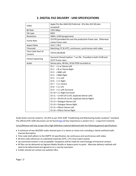| Video                    | Apple Pro Res 4444 XQ Preferred. (Pro Res 422 HQ also            |  |
|--------------------------|------------------------------------------------------------------|--|
|                          | accepted)                                                        |  |
| <b>Bit Rate</b>          | 1591 Mbps                                                        |  |
| File type                | MOV                                                              |  |
| Resolution               | 3840 x 2160 (progressive)                                        |  |
| <b>Frame Rate</b>        | 23.976 (provided this was the production frame rate. Otherwise   |  |
|                          | native frame rate)                                               |  |
| <b>Aspect Ratio</b>      | 16:9, 1.78:1                                                     |  |
| Timecode                 | Matching LTC & VITC, continuous, synchronous with video          |  |
| Time Code Start of       | TCR 01:00:00;00                                                  |  |
| Content                  |                                                                  |  |
| <b>Closed Captioning</b> | Scenarist Closed Caption: *.scc file. Provided in both 23.98 and |  |
|                          | 29.97 frame rates.                                               |  |
| Audio                    | Stereo pairs, 48 kHz, 24 bit PCM recorded as:                    |  |
|                          | Ch $1 = Lt$ or Stereo Left                                       |  |
|                          | Ch $2 = Rt$ or Stereo Right                                      |  |
|                          | $Ch3 = M&E \text{ Left}$                                         |  |
|                          | $Ch 4 = M&E Right$                                               |  |
|                          | $Ch 5 = 5.1$ Left                                                |  |
|                          | Ch $6 = 5.1$ Right                                               |  |
|                          | Ch $7 = 5.1$ Centre                                              |  |
|                          | $Ch 8 = 5.1$ LFE                                                 |  |
|                          | Ch $9 = 5.1$ Left Surround                                       |  |
|                          | Ch 10 = 5.1 Right Surround                                       |  |
|                          | Ch $11 = Lt+DV$ (if no DV, duplicate Stereo Left)                |  |
|                          | Ch $12$ = Rt+DV (if no DV, duplicate Stereo Right)               |  |
|                          | Ch 13 = Dialogue Stereo Left                                     |  |
|                          | Ch 14 = Dialogue Stereo Right                                    |  |
|                          | Ch 15 = Effects Stereo Left                                      |  |
|                          | Ch $16$ = Effects Stereo Right                                   |  |

## **2. DIGITAL FILE DELIVERY - UHD SPECIFICATIONS**

Audio levels must be mixed to -24 LKFS as per ATSC A/85 "Establishing and Maintaining Audio Loudness" standard. The official ATSC A/85 document can be found [here](https://assets.corusent.com/wp-content/uploads/2021/10/ATSC_A_85-Establishing_Maintaining_Audio_Loudness.pdf) (of key importance is section H.6.1 - Long Form Content).

Corus/Nelvana will only accept Ultra High Definition material delivered with the following general specifications:

- A minimum of two AES/EBU audio channel pairs in a stereo or mono mix; including a clearly outlined audio channel description.
- Time code shall adhere to the SMPTE 24 specification, be continuous and synchronous with video.
- All time code references on submitted materials (VITC, LTC) must match exactly.
- Up-converted content is not acceptable. Exceptions will be made for stock footage of historical content.
- All files can be delivered via Signiant Media Shuttle or Aspera point-to-point. Alternate delivery methods will need to be determined and agreed to on a case by case basis.
- <span id="page-4-0"></span>Credits should not contain any website URLs.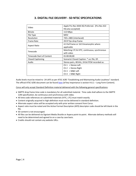| Video                            | Apple Pro Res 4444 XQ Preferred. (Pro Res 422 |
|----------------------------------|-----------------------------------------------|
|                                  | HQ also accepted)                             |
| <b>Bitrate</b>                   | 113 Mbps                                      |
| File Type                        | <b>MOV</b>                                    |
| Resolution                       | 720 x 480i (interlaced)                       |
| Frame Rate                       | 29.97 fps drop frame                          |
| Aspect Ratio                     | 4:3 full frame or 16:9 Anamorphic where       |
|                                  | applicable                                    |
| Timecode                         | Matching LTC & VITC, continuous, synchronous  |
|                                  | with video                                    |
| <b>Timecode Start of Content</b> | 01:00:00;00                                   |
| <b>Closed Captioning</b>         | Scenarist Closed Caption: *.scc file, DF.     |
| Audio                            | Stereo pairs, 48 kHz, 24 bit PCM recorded as: |
|                                  | Ch $1 =$ Stereo Left                          |
|                                  | $Ch 2 = Stereo Right$                         |
|                                  | $Ch3 = M&E \;Left$                            |
|                                  | $Ch 4 = M&E Right$                            |

## **3. DIGITAL FILE DELIVERY - SD NTSC SPECIFICATIONS**

Audio levels must be mixed to -24 LKFS as per ATSC A/85 "Establishing and Maintaining Audio Loudness" standard. The official ATSC A/85 document can be found [here](https://assets.corusent.com/wp-content/uploads/2021/10/ATSC_A_85-Establishing_Maintaining_Audio_Loudness.pdf) (of key importance is section H.6.1 – Long Form Content).

Corus will only accept Standard Definition material delivered with the following general specifications:

- SMPTE drop frame time code is mandatory for all submitted material. Time code shall adhere to the SMPTE 12M specification, be continuous and synchronous with video.
- All time code references on submitted materials (VITC, LTC) must match exactly.
- Content originally acquired in high definition must not be delivered in standard definition.
- Alternate aspect ratios will be accepted only with prior written consent from Corus.
- Aspect ratio must be noted and the Active Format Description (AFD) descriptor code should be left blank in the file.
- SD content is not encouraged.
- All files can be delivered via Signiant Media Shuttle or Aspera point-to-point. Alternate delivery methods will need to be determined and agreed to on a case by case basis.
- <span id="page-5-0"></span>Credits should not contain any website URLs.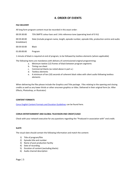## **4. ORDER OF EVENTS**

#### **FILE DELIVERY**

All long form program content must be recorded in this exact order:

- 00:59:30:00 75% SMPTE colour bars and 1 kHz reference tone (operating level of 0 VU)
- 00:59:40:00 Slate (include program name, length, episode number, episode title, production centre and audio breakdown)
- 00:59:50:00 Black
- 01:00:00:00 Program

1 minute of black is required at end of program, to be followed by textless elements (where applicable)

The following items are mandatory with delivery of commissioned original programming:

- a. Minimum twelve (12) frames of black between program segments
- b. Timing cue sheet
- c. Commercial blacks (as noted above in part a.)
- d. Textless elements
- e. A minimum of ten (10) seconds of coherent black video with silent audio following textless elements

When delivering the files please include the Graphics and Title package. Files relating to the opening and closing credits as well as any lower thirds or other onscreen graphics or titles. Delivered in their original form (ie: After Effects, Photoshop, or Illustrator)

#### **CONTENT FORMATS**

[Corus English Content Formats and Duration Guidelines](https://assets.corusent.com/wp-content/uploads/2021/10/Corus_English_Content_Formats_Duration_Guidelines2.pdf) can be found here.

#### **CORUS ENTERTAINMENT AND GLOBAL TELEVISION END CREDIT/LOGO**

Check with your network executive for any questions regarding the "Produced in association with" end credit.

#### **SLATE**

The visual slate should contain the following information and match the content:

- 1) Title of program/film
- 2) Episode title and number
- 3) Name of post production facility
- 4) Date of recording
- 5) Duration of content (excluding blacks)
- 6) Audio channel description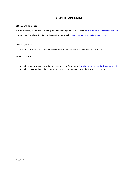## **5. CLOSED CAPTIONING**

#### <span id="page-7-0"></span>**CLOSED CAPTION FILES**

For the Specialty Networks: Closed caption files can be provided via email to: [Corus-MediaServices@corusent.com](mailto:Corus-MediaServices@corusent.com) For Nelvana, Closed caption files can be provided via email to: Nelvana Syndication@corusent.com

#### **CLOSED CAPTIONING:**

Scenarist Closed Caption \*.scc file, drop frame at 29.97 as well as a separate .scc file at 23.98

### **CAB STYLE GUIDE**

- All closed captioning provided to Corus must conform to the [Closed Captioning Standards and Protocol.](https://assets.corusent.com/wp-content/uploads/2021/10/Closed_Captioning_Standards_Protocol.pdf)
- All pre-recorded Canadian content needs to be created and encoded using pop-on captions.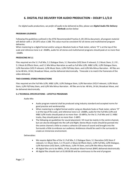# <span id="page-8-0"></span>**6. DIGITAL FILE DELIVERY FOR AUDIO PRODUCTION – DOLBY 5.1/2.0**

*For digital audio productions, we prefer all audio to be delivered as files; please see Digital Audio File Delivery Methods section below*

#### **PROGRAM LOUDNESS**

Following the guidelines outlined in the ATSC Recommended Practice A\_85-2011a document, all program material will deliver with a -24 LKFS value ± 2dB. This value must be consistent for all stereo and multichannel program deliveries.

When mastering to a digital format and/or using an Absolute Scale or Peak meter, where "0" is at the top of the scale and reference tone is at -20dBfs, audio for all stereo and multichannel programs should peak at no more than -10dBfs

#### **PRODUCING IN 5.1**

Files required are the 5.1 Full Mix, 5.1 Dialogue Stem, 5.1 Narration (VO) Stem if relevant, 5.1 Music Stem, 5.1 FX , 5.1 Music & Effects Stem, and 5.1 Mix Minus Narration as well as Full Mix Lt/Rt, M&E Lt/Rt, Lt/Rt Dialogue Stem, Lt/Rt Narration (VO) if relevant, Lt/Rt Music Stem, Lt/Rt FX/Foley Stem, and Lt/Rt Mix Minus Narration. All files are to be 48 kHz, 24 bit; Broadcast Wave, and be delivered electronically. Timecode is to match the framerate of the video delivered.

### **TWO-CHANNEL STEREO PRODUCTIONS**

Files required are the Full Mix Lt/Rt, M&E Lt/Rt, Lt/Rt Dialogue Stem, Lt/Rt Narration (VO) if relevant, Lt/Rt Music Stem, Lt/Rt FX/Foley Stem, and Lt/Rt Mix Minus Narration. All files are to be: 48 kHz, 24 bit; Broadcast Wave, and be delivered electronically.

#### **5.1 TECHNICAL SPECIFICATIONS – LIFESTYLE PROGRAMS**

#### Audio Mix:

- Audio program material shall be produced using industry standard and accepted norms for good practice and workmanship
- When mastering to a digital format and/or using an Absolute Scale or Peak meter, where "0" is at the top of the scale, and reference tone is at -20dBfs, audio for the Full Mix Lt/Rt and M&E Lt/Rt tracks should peak at no more than -10 dBFSs; for the 5.1 Full Mix and 5.1 M&E tracks, they should peak at no more than -3 dBFS.
- The following are guidelines for sound placement: VO must be mainly in the centre channel, but can also be diverged into the Left and Right; Stereo Music tracks should be panned into the centre channel a little to create a cohesive LCR wave of sound and brought into the Surrounds a little to embrace our audience; Ambiences should be used in the surrounds to create an immersive environment.

#### Deliverables:

- We require digital files of the 5.1 Full Mix, 5.1 Dialogue Stem, 5.1 Narration (VO) Stem if relevant, 5.1 Music Stem, 5.1 FX and 5.1 Music & Effects Stem, Lt/Rt Full Mix, Lt/Rt Dialogue, Lt/Rt Narration (VO) Stem, Lt/Rt Music, Lt/Rt FX Stem, and Lt/Rt Mix Minus Narration
- All digital files are to be 48Khz, 24 bit, Broadcast Wave Format (BWF) delivered electronically
- All digital files should start at 01:00:00.00 and be continuous to the end of program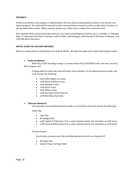#### **PROFANITY**

If there is profanity in the program, a representative of Corus will provide guidelines based on the channel and type of program. The video will be required to have some profanity censored as well as audio stems to match, as per the deliverables above. When required, please use a 1KHz tone to replace the censored words.

Also required will be uncensored audio stems for any tracks containing the profanity; eg: 5.1 Full Mix, 5.1 Dialogue Stem, 5.1 Narration (VO) Stem if relevant, Lt/Rt Full Mix, Lt/Rt Dialogue, Lt/Rt Narration (VO) Stem if relevant, and Lt/Rt Mix Minus Narration.

#### **DIGITAL AUDIO FILE DELIVERY METHODS**

Minimum audio element specifications are 16 bit at 48 kHz. All audio file levels must match final program audio.

#### **Preferred Method**

WAV files; all file encoding to begin 2 seconds before the 01:00:00:00 mark, and end 2 seconds after program end.

If being asked to create two-channel stereo, each episode is to be delivered electronically, and must contain the following:

- Final Lt/Rt English mix tracks
- Lt/Rt Music & Effects tracks
- Lt/Rt Dialogue tracks
- Lt/Rt Music tracks
- Lt/Rt Effects tracks
- Lt/Rt Narration (VO) if relevant
- Lt/Rt Mix Minus Narration

#### **Alternate Method A**

Each episode is to be delivered electronically or on hard drive and must contain the following:

*Audio Files*

- Fade Files
- All dialogue files
- Lt/Rt English Full Mix Stem (if 5.1 audio is being created, this should be an Lt/Rt stem)
- Lt/Rt Music & Effects Stem (if 5.1 audio is being created, this should be an Lt/Rt stem)

#### *ProTools Session*

Ensure when saving session files the following two elements are checked off:

- All Audio Files
- Session Plug In Settings Folder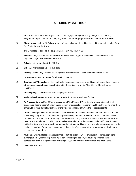## **7. PUBLICITY MATERIALS**

- <span id="page-10-0"></span> **Press Kit** – to include Cover Page, Overall Synopsis, Episodic Synopsis, Log Lines, Cast & Crew list, Biographies of principal cast & crew, any production notes, program concept. (Microsoft Word Doc)
- **Photography** at least 10 Gallery Images of principal cast delivered in a layered format in its original form (ie: Photoshop or Illustrator)

and 5 images per episode Hi Res Jpeg Images (min 300 dpi, 8 X 10).

- $\boxed{\times}$  **Artwork** any available cleared artwork as well as Hi Res logos delivered in a layered format in its original form (ie: Photoshop or Illustrator)
- **Episode List** or Running Order/ Air Order
- **EPK** –(Electronic Press Kit) if available
- **EX** Promo/ Trailer- any available cleared promo or trailer that has been created by producer or

Broadcaster – must be cleared for all use in all media.

- **EX** Graphics and Title package files relating to the opening and closing credits as well as any lower thirds or other onscreen graphics or titles. Delivered in their original form (ie: After Effects, Photoshop, or Illustrator)
- $\boxtimes$  **Press clippings** any available press clippings or articles
- **Technical Evaluation Report** as created by a distributor approved post facility
- **As Produced Scripts**. One (1) "as produced script" (in Microsoft Word Doc form), containing all final dialogue and scene descriptions of each program or episode(s). Each script shall be delivered no later than three (3) business days after delivery of the videotape master of which the script represents.
- **Credits**. A complete statement of credits to be accorded on screen in the main and end titles and in paid advertising along with a completed and approved billing block of such credits. Such statement shall be rendered in customary form (or as may otherwise be mutually agreed) and shall include the names of all persons to whom [PRODUCER] is contractually obligated to accord on-screen credit and/or credit in any paid advertising, publicity or exploitation together with name/likeness and any talent approvals applicable to the production. If there are changeable credits, a list of the changes for each program/episode must accompany the credit list.
- **Music Cue Sheets**. Please note program/episode title, producer, year of program or series, copyright owner (publisher/composer), music type, performing rights society, and running time for each composition used in the production including background, feature, instrumental and vocal usage.
- **Cast and Crew Lists**.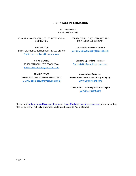## **8. CONTACT INFORMATION**

25 Dockside Drive Toronto, ON M4Y 2G9

<span id="page-11-0"></span>NELVANA AND CORUS STUDIOS FOR INTERNATIONAL DISTRIBUTION

CORUS COMMISSIONED - SPECIALTY AND CONVENTIONAL BROADCAST

DIRECTOR, PRODUCTION & POST SERVICES, STUDIO [Corus-MediaServices@corusent.com](mailto:Corus-MediaServices@corusent.com) [E-MAIL: glen.pollock@corusent.com](mailto:glen.pollock@corusent.com)

SENIOR MANAGER, POST PRODUCTION [SpecialtyOpsTeam@corusent.com](mailto:SpecialtyOpsTeam@corusent.com) [E-MAIL: vils.disanto@corusent.com](mailto:vils.disanto@corusent.com)

[E-MAIL: adam.stewart@corusent.com](mailto:adam.stewart@corusent.com) [COACG@corusent.com](mailto:COACG@corusent.com)

**GLEN POLLOCK Corus Media Services – Toronto**

**VILS M. DiSANTO Specialty Operations – Toronto**

**ADAM STEWART Conventional Broadcast** SUPERVISOR, DIGITAL ASSETS AND DELIVERY **Conventional Coordination Group – Calgary**

> **Conventional On-Air Supervisors – Calgary** [COAS@corusent.com](mailto:COAS@corusent.com)

Please notify [adam.stewart@corusent.com](mailto:adam.stewart@corusent.com) and [Corus-MediaServices@corusent.com](mailto:Corus-MediaServices@corusent.com) when uploading files for delivery. Publicity materials should also be sent to Adam Stewart.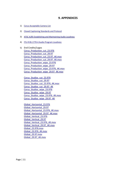## **9. APPENDICES**

- <span id="page-12-0"></span>1) [Corus Acceptable Camera List](https://assets.corusent.com/wp-content/uploads/2021/10/Corus-Acceptable-Camera-List-1.pdf)
- 2) [Closed Captioning Standards and Protocol](https://assets.corusent.com/wp-content/uploads/2021/10/Closed_Captioning_Standards_Protocol.pdf)
- 3) [ATSC A/85 Establishing and Maintaining Audio Loudness](https://assets.corusent.com/wp-content/uploads/2021/10/ATSC_A_85-Establishing_Maintaining_Audio_Loudness.pdf)
- 4) [ITU-R BS.1770-4 Audio Program Loudness](https://assets.corusent.com/wp-content/uploads/2021/10/ITUR_BS_1770_4_Audio_Program_Loudness_En.pdf)
- 5) End Credits/Logos Corus Production cut 23.976 Corus Production cut 29.97 [Corus\\_Production\\_cut\\_23.97\\_4K.mov](https://assets.corusent.com/wp-content/uploads/2021/10/Corus_Production_cut_23.97_4K.mov) Corus Production cut 29.97 4K.mov [Corus\\_Production\\_wipe\\_23.976](https://assets.corusent.com/wp-content/uploads/2021/10/Corus_Production_wipe_23.976.mov) [Corus\\_Production\\_wipe\\_29.97](https://assets.corusent.com/wp-content/uploads/2021/10/Corus_Production_wipe_29.97.mov) Corus Production wipe 23.976 4K.mov Corus Production wipe 29.97 4K.mov

[Corus\\_Studios\\_cut\\_23.976](https://assets.corusent.com/wp-content/uploads/2021/10/Corus_Studios_cut_23.976.mov) Corus Studios cut 29.97 [Corus\\_Studios\\_cut\\_23.976\\_4K.mov](https://assets.corusent.com/wp-content/uploads/2021/10/Corus_Studios_cut_23.976_4K.mov) Corus Studios cut 29.97 4K [Corus\\_Studios\\_wipe\\_23.976](https://assets.corusent.com/wp-content/uploads/2021/10/Corus_Studios_wipe_23.976.mov) [Corus\\_Studios\\_wipe\\_29.97](https://assets.corusent.com/wp-content/uploads/2021/10/Corus_Studios_wipe_29.97.mov) [Corus\\_Studios\\_wipe\\_23.976\\_4K.mov](https://assets.corusent.com/wp-content/uploads/2021/10/Corus_Studios_wipe_23.976_4K.mov) Corus Studios wipe 29.97 4K

```
Global_Horizontal_23.976
Global_Horizontal_29.97
Global Horizontal 23.976 4K.mov
Global Horizontal 29.97 4K.mov
Global_Vertical_23.976
Global Vertical 29.97
Global_Vertical_23.976_4K.mov
Global_Vertical_29.97_4K.mov
Global_23.976.mov
Global_23.976_4K.mov
Global_29.97.mov
Global_29.97_4K.mov
```